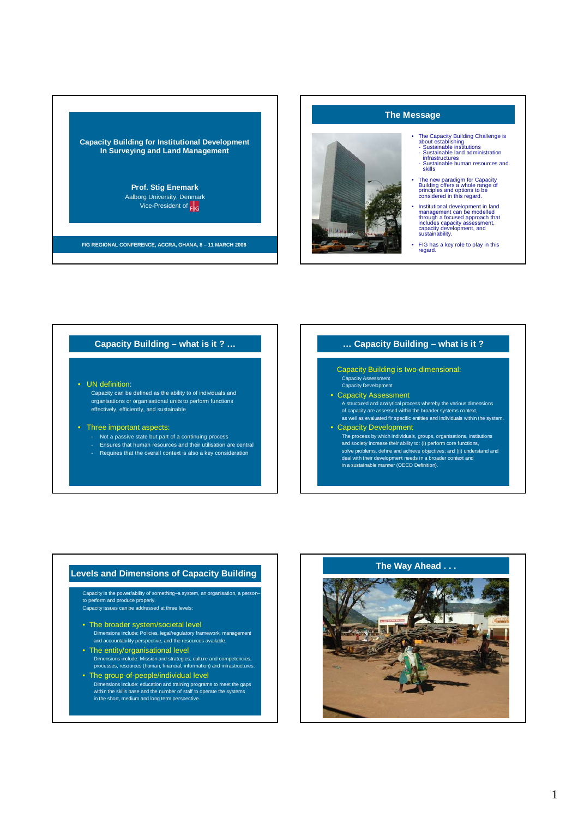

## **The Message**



- The Capacity Building Challenge is<br>
 Sustainable institutions<br>
 Sustainable institutions<br>
 Sustainable land administration<br>
infrastructures<br>
 Sustainable human resources and<br>
skills
	-
- The new paradigm for Capacity Building offers a whole range of principles and options to be considered in this regard.
- Institutional development in land<br>
management can be modelled<br>
includes capacity assessment,<br>
capacity development, and<br>
sustainability.<br>
Unitativelopment, and
- FIG has a key role to play in this regard.

## **Capacity Building – what is it ? …**

### • UN definition:

Capacity can be defined as the ability to of individuals and organisations or organisational units to perform functions effectively, efficiently, and sustainable

### • Three important aspects:

- Not a passive state but part of a continuing process - Ensures that human resources and their utilisation are central
- Requires that the overall context is also a key consideration
- 

### **… Capacity Building – what is it ?**

Capacity Building is two-dimensional: Capacity Assessment Capacity Development

- 
- Capacity Assessment A structured and analytical process whereby the various dimensions

of capacity are assessed within the broader systems context, as well as evaluated fir specific entities and individuals within the system.

• Capacity Development The process by which individuals, groups, organisations, institutions and society increase their ability to: (I) perform core functions, solve problems, define and achieve objectives; and (ii) understand and deal with their development needs in a broader context and in a sustainable manner (OECD Definition).

Capacity is the power/ability of something–a system, an organisation, a person– to perform and produce properly. Capacity issues can be addressed at three levels:

- The broader system/societal level Dimensions include: Policies, legal/regulatory framework, management and accountability perspective, and the resources available.
- The entity/organisational level Dimensions include: Mission and strategies, culture and competencies, processes, resources (human, financial, information) and infrastructures.
- The group-of-people/individual level Dimensions include: education and training programs to meet the gaps within the skills base and the number of staff to operate the systems in the short, medium and long term perspective.

# **Levels and Dimensions of Capacity Building The Way Ahead . . .**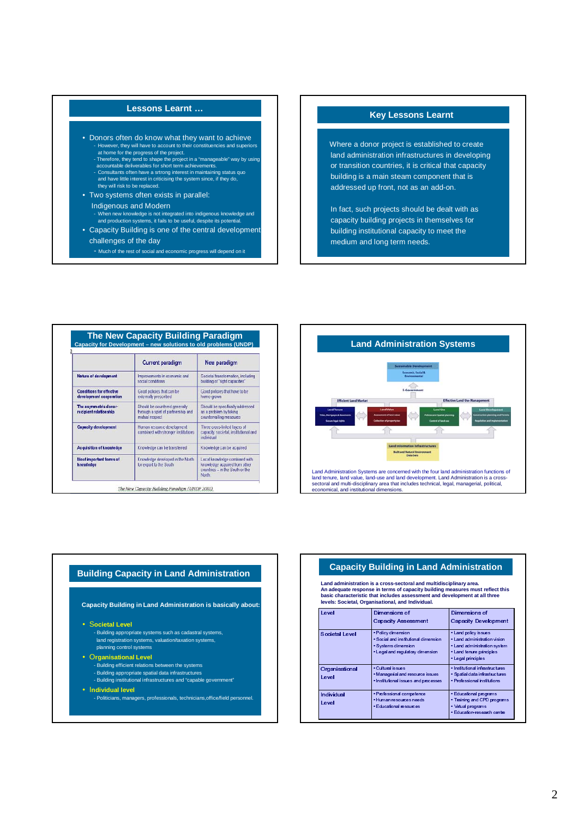### **Lessons Learnt …**

- Donors often do know what they want to achieve - However, they will have to account to their constituencies and superiors<br>at home for the progress of the project.<br>- Therefore, they tend to shape the project in a "manageable" way by using<br>accountable deliverables for sh
	-
	- Consultants often have a srtrong interest in maintaining status quo and have little interest in criticising the system since, if they do, they will risk to be replaced.
- Two systems often exists in parallel: Indigenous and Modern
- When new knowledge is not integrated into indigenous knowledge and and production systems, it fails to be useful, despite its potential.
- Capacity Building is one of the central development challenges of the day
	- Much of the rest of social and economic progress will depend on it

## **Key Lessons Learnt**

Where a donor project is established to create land administration infrastructures in developing or transition countries, it is critical that capacity building is a main steam component that is addressed up front, not as an add-on.

In fact, such projects should be dealt with as capacity building projects in themselves for building institutional capacity to meet the medium and long term needs.

|                                                            | <b>Current paradigm</b>                                                                | New paradigm                                                                                                |
|------------------------------------------------------------|----------------------------------------------------------------------------------------|-------------------------------------------------------------------------------------------------------------|
| Natura of davalopment                                      | Improvements in economic and<br>social conditions                                      | Societal transformation, including<br>building of "right capacities"                                        |
| <b>Conditions for effective</b><br>development cooperation | Good policies that can be<br>externally prescribed                                     | Good policies that have to be<br>home-grown                                                                 |
| The asymmetric donor-<br>recipient relationship            | Should be countered generally<br>through a spirit of partnership and<br>mutual respect | Should be specifically addressed<br>as a problem by taking<br>countervailing measures                       |
| <b>Capacity development</b>                                | Human resource development<br>combined with stronger institutions                      | Three cross-linked layers of<br>capacity societal, institutional and<br>individual                          |
| <b>Acquisition of knowledge</b>                            | Knowledge can be transferred                                                           | Knowledge can be acquired                                                                                   |
| Most important forms of<br>knowledge                       | Knowledge developed in the North<br>for export to the South                            | Local knowledge combined with<br>knowledge acquired from other<br>countries - in the South or the<br>North. |



# **Building Capacity in Land Administration Capacity Building in Land Administration**

**Capacity Building in Land Administration is basically about:**

• S**ocietal Level**

- Building appropriate systems such as cadastral systems, land registration systems, valuation/taxation systems, planning control systems

### • O**rganisational Level**

- Building efficient relations between the systems
- Building appropriate spatial data infrastructures - Building institutional infrastructures and "capable government"
- I**ndividual level**

- Politicians, managers, professionals, technicians,office/field personnel.

Land administration is a cross-sectoral and multidisciplinary area.<br>An adequate response in terms of capacity building measures must reflect this<br>basic characteristic that includes assessment and development at all three<br>l

| Level                    | Dimensions of<br><b>Capacity Assessment</b>                                                                            | Dimensions of<br><b>Capacity Development</b>                                                                                           |
|--------------------------|------------------------------------------------------------------------------------------------------------------------|----------------------------------------------------------------------------------------------------------------------------------------|
| Societal Level           | · Policy dimension<br>. Social and institutional dimension<br>· Sy stems dimension<br>• Legal and regulatory dimension | . Land policy issues<br>. Land administration vision<br>. Land administration system<br>. Land tenure principles<br>· Legal principles |
| Organisational<br>I evel | • Cultural issues<br>. Managerial and resource issues<br>· Institutional issues and processes                          | · Institutional infrastructures<br>· Spatial data infrastructures<br>• Professional institutions                                       |
| Individual<br>Level      | · Professional competence<br>· Hum an resources needs<br>• Educational resources                                       | • Educational programs<br>• Training and CPD programs<br>· Virtual programs<br>• E ducation-research centre                            |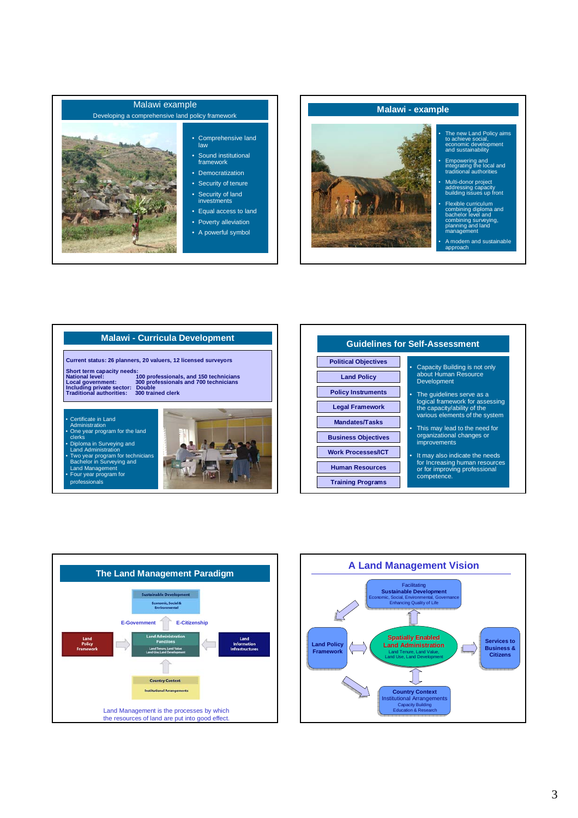



### **Malawi - Curricula Development**

**Current status: 26 planners, 20 valuers, 12 licensed surveyors**

**Short term capacity needs: National level: 100 professionals, and 150 technicians Local government: 300 professionals and 700 technicians Including private sector: Double Traditional authorities: 300 trained clerk**

• Certificate in Land Administration • One year program for the land

clerks • Diploma in Surveying and Land Administration • Two year program for technicians Bachelor in Surveying and Land Management • Four year program for

professionals